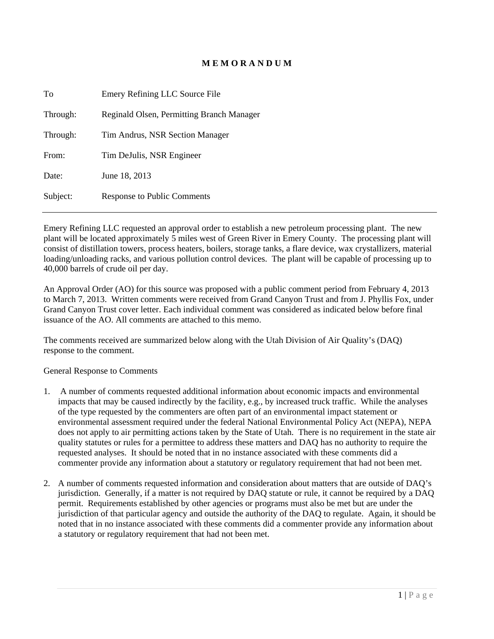## **M E M O R A N D U M**

| Emery Refining LLC Source File            |
|-------------------------------------------|
| Reginald Olsen, Permitting Branch Manager |
| Tim Andrus, NSR Section Manager           |
| Tim DeJulis, NSR Engineer                 |
| June 18, 2013                             |
| Response to Public Comments               |
|                                           |

Emery Refining LLC requested an approval order to establish a new petroleum processing plant. The new plant will be located approximately 5 miles west of Green River in Emery County. The processing plant will consist of distillation towers, process heaters, boilers, storage tanks, a flare device, wax crystallizers, material loading/unloading racks, and various pollution control devices. The plant will be capable of processing up to 40,000 barrels of crude oil per day.

An Approval Order (AO) for this source was proposed with a public comment period from February 4, 2013 to March 7, 2013. Written comments were received from Grand Canyon Trust and from J. Phyllis Fox, under Grand Canyon Trust cover letter. Each individual comment was considered as indicated below before final issuance of the AO. All comments are attached to this memo.

The comments received are summarized below along with the Utah Division of Air Quality's (DAQ) response to the comment.

General Response to Comments

- 1. A number of comments requested additional information about economic impacts and environmental impacts that may be caused indirectly by the facility, e.g., by increased truck traffic. While the analyses of the type requested by the commenters are often part of an environmental impact statement or environmental assessment required under the federal National Environmental Policy Act (NEPA), NEPA does not apply to air permitting actions taken by the State of Utah. There is no requirement in the state air quality statutes or rules for a permittee to address these matters and DAQ has no authority to require the requested analyses. It should be noted that in no instance associated with these comments did a commenter provide any information about a statutory or regulatory requirement that had not been met.
- 2. A number of comments requested information and consideration about matters that are outside of DAQ's jurisdiction. Generally, if a matter is not required by DAQ statute or rule, it cannot be required by a DAQ permit. Requirements established by other agencies or programs must also be met but are under the jurisdiction of that particular agency and outside the authority of the DAQ to regulate. Again, it should be noted that in no instance associated with these comments did a commenter provide any information about a statutory or regulatory requirement that had not been met.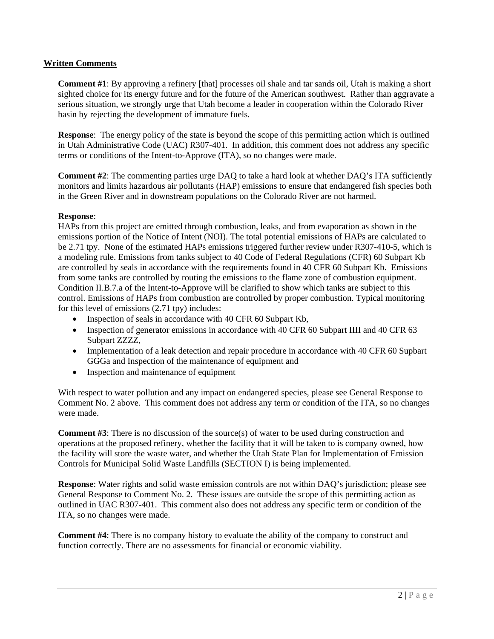## **Written Comments**

**Comment #1**: By approving a refinery [that] processes oil shale and tar sands oil, Utah is making a short sighted choice for its energy future and for the future of the American southwest. Rather than aggravate a serious situation, we strongly urge that Utah become a leader in cooperation within the Colorado River basin by rejecting the development of immature fuels.

**Response:** The energy policy of the state is beyond the scope of this permitting action which is outlined in Utah Administrative Code (UAC) R307-401. In addition, this comment does not address any specific terms or conditions of the Intent-to-Approve (ITA), so no changes were made.

**Comment #2**: The commenting parties urge DAQ to take a hard look at whether DAQ's ITA sufficiently monitors and limits hazardous air pollutants (HAP) emissions to ensure that endangered fish species both in the Green River and in downstream populations on the Colorado River are not harmed.

## **Response**:

HAPs from this project are emitted through combustion, leaks, and from evaporation as shown in the emissions portion of the Notice of Intent (NOI). The total potential emissions of HAPs are calculated to be 2.71 tpy. None of the estimated HAPs emissions triggered further review under R307-410-5, which is a modeling rule. Emissions from tanks subject to 40 Code of Federal Regulations (CFR) 60 Subpart Kb are controlled by seals in accordance with the requirements found in 40 CFR 60 Subpart Kb. Emissions from some tanks are controlled by routing the emissions to the flame zone of combustion equipment. Condition II.B.7.a of the Intent-to-Approve will be clarified to show which tanks are subject to this control. Emissions of HAPs from combustion are controlled by proper combustion. Typical monitoring for this level of emissions (2.71 tpy) includes:

- Inspection of seals in accordance with 40 CFR 60 Subpart Kb,
- Inspection of generator emissions in accordance with 40 CFR 60 Subpart IIII and 40 CFR 63 Subpart ZZZZ,
- Implementation of a leak detection and repair procedure in accordance with 40 CFR 60 Supbart GGGa and Inspection of the maintenance of equipment and
- Inspection and maintenance of equipment

With respect to water pollution and any impact on endangered species, please see General Response to Comment No. 2 above. This comment does not address any term or condition of the ITA, so no changes were made.

**Comment #3**: There is no discussion of the source(s) of water to be used during construction and operations at the proposed refinery, whether the facility that it will be taken to is company owned, how the facility will store the waste water, and whether the Utah State Plan for Implementation of Emission Controls for Municipal Solid Waste Landfills (SECTION I) is being implemented.

**Response**: Water rights and solid waste emission controls are not within DAQ's jurisdiction; please see General Response to Comment No. 2. These issues are outside the scope of this permitting action as outlined in UAC R307-401. This comment also does not address any specific term or condition of the ITA, so no changes were made.

**Comment #4**: There is no company history to evaluate the ability of the company to construct and function correctly. There are no assessments for financial or economic viability.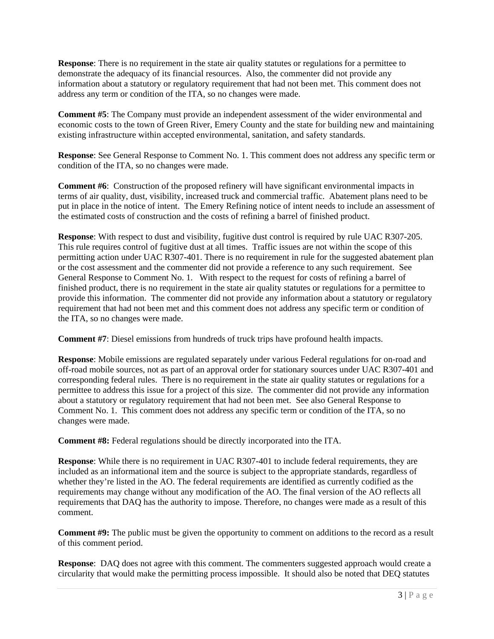**Response**: There is no requirement in the state air quality statutes or regulations for a permittee to demonstrate the adequacy of its financial resources. Also, the commenter did not provide any information about a statutory or regulatory requirement that had not been met. This comment does not address any term or condition of the ITA, so no changes were made.

**Comment #5**: The Company must provide an independent assessment of the wider environmental and economic costs to the town of Green River, Emery County and the state for building new and maintaining existing infrastructure within accepted environmental, sanitation, and safety standards.

**Response**: See General Response to Comment No. 1. This comment does not address any specific term or condition of the ITA, so no changes were made.

**Comment #6**: Construction of the proposed refinery will have significant environmental impacts in terms of air quality, dust, visibility, increased truck and commercial traffic. Abatement plans need to be put in place in the notice of intent. The Emery Refining notice of intent needs to include an assessment of the estimated costs of construction and the costs of refining a barrel of finished product.

**Response**: With respect to dust and visibility, fugitive dust control is required by rule UAC R307-205. This rule requires control of fugitive dust at all times. Traffic issues are not within the scope of this permitting action under UAC R307-401. There is no requirement in rule for the suggested abatement plan or the cost assessment and the commenter did not provide a reference to any such requirement. See General Response to Comment No. 1. With respect to the request for costs of refining a barrel of finished product, there is no requirement in the state air quality statutes or regulations for a permittee to provide this information. The commenter did not provide any information about a statutory or regulatory requirement that had not been met and this comment does not address any specific term or condition of the ITA, so no changes were made.

**Comment #7**: Diesel emissions from hundreds of truck trips have profound health impacts.

**Response**: Mobile emissions are regulated separately under various Federal regulations for on-road and off-road mobile sources, not as part of an approval order for stationary sources under UAC R307-401 and corresponding federal rules. There is no requirement in the state air quality statutes or regulations for a permittee to address this issue for a project of this size. The commenter did not provide any information about a statutory or regulatory requirement that had not been met. See also General Response to Comment No. 1. This comment does not address any specific term or condition of the ITA, so no changes were made.

**Comment #8:** Federal regulations should be directly incorporated into the ITA.

**Response**: While there is no requirement in UAC R307-401 to include federal requirements, they are included as an informational item and the source is subject to the appropriate standards, regardless of whether they're listed in the AO. The federal requirements are identified as currently codified as the requirements may change without any modification of the AO. The final version of the AO reflects all requirements that DAQ has the authority to impose. Therefore, no changes were made as a result of this comment.

**Comment #9:** The public must be given the opportunity to comment on additions to the record as a result of this comment period.

**Response**: DAQ does not agree with this comment. The commenters suggested approach would create a circularity that would make the permitting process impossible. It should also be noted that DEQ statutes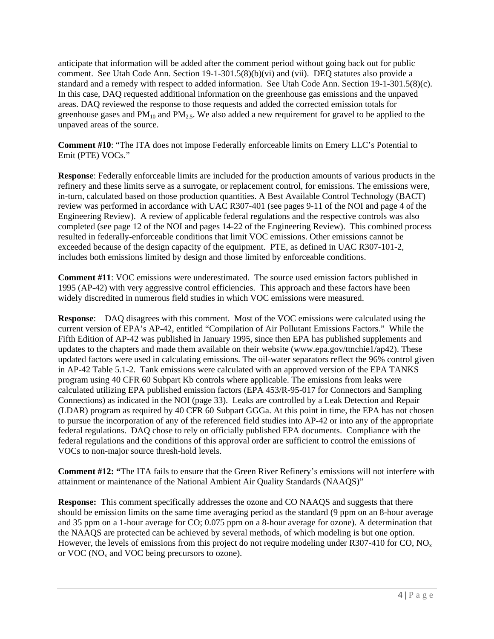anticipate that information will be added after the comment period without going back out for public comment. See Utah Code Ann. Section 19-1-301.5(8)(b)(vi) and (vii). DEQ statutes also provide a standard and a remedy with respect to added information. See Utah Code Ann. Section 19-1-301.5(8)(c). In this case, DAQ requested additional information on the greenhouse gas emissions and the unpaved areas. DAQ reviewed the response to those requests and added the corrected emission totals for greenhouse gases and  $PM_{10}$  and  $PM_{25}$ . We also added a new requirement for gravel to be applied to the unpaved areas of the source.

**Comment #10**: "The ITA does not impose Federally enforceable limits on Emery LLC's Potential to Emit (PTE) VOCs."

**Response**: Federally enforceable limits are included for the production amounts of various products in the refinery and these limits serve as a surrogate, or replacement control, for emissions. The emissions were, in-turn, calculated based on those production quantities. A Best Available Control Technology (BACT) review was performed in accordance with UAC R307-401 (see pages 9-11 of the NOI and page 4 of the Engineering Review). A review of applicable federal regulations and the respective controls was also completed (see page 12 of the NOI and pages 14-22 of the Engineering Review). This combined process resulted in federally-enforceable conditions that limit VOC emissions. Other emissions cannot be exceeded because of the design capacity of the equipment. PTE, as defined in UAC R307-101-2, includes both emissions limited by design and those limited by enforceable conditions.

**Comment #11**: VOC emissions were underestimated. The source used emission factors published in 1995 (AP-42) with very aggressive control efficiencies. This approach and these factors have been widely discredited in numerous field studies in which VOC emissions were measured.

**Response**: DAQ disagrees with this comment. Most of the VOC emissions were calculated using the current version of EPA's AP-42, entitled "Compilation of Air Pollutant Emissions Factors." While the Fifth Edition of AP-42 was published in January 1995, since then EPA has published supplements and updates to the chapters and made them available on their website (www.epa.gov/ttnchie1/ap42). These updated factors were used in calculating emissions. The oil-water separators reflect the 96% control given in AP-42 Table 5.1-2. Tank emissions were calculated with an approved version of the EPA TANKS program using 40 CFR 60 Subpart Kb controls where applicable. The emissions from leaks were calculated utilizing EPA published emission factors (EPA 453/R-95-017 for Connectors and Sampling Connections) as indicated in the NOI (page 33). Leaks are controlled by a Leak Detection and Repair (LDAR) program as required by 40 CFR 60 Subpart GGGa. At this point in time, the EPA has not chosen to pursue the incorporation of any of the referenced field studies into AP-42 or into any of the appropriate federal regulations. DAQ chose to rely on officially published EPA documents. Compliance with the federal regulations and the conditions of this approval order are sufficient to control the emissions of VOCs to non-major source thresh-hold levels.

**Comment #12: "**The ITA fails to ensure that the Green River Refinery's emissions will not interfere with attainment or maintenance of the National Ambient Air Quality Standards (NAAQS)"

**Response:** This comment specifically addresses the ozone and CO NAAQS and suggests that there should be emission limits on the same time averaging period as the standard (9 ppm on an 8-hour average and 35 ppm on a 1-hour average for CO; 0.075 ppm on a 8-hour average for ozone). A determination that the NAAQS are protected can be achieved by several methods, of which modeling is but one option. However, the levels of emissions from this project do not require modeling under R307-410 for CO,  $N_{\rm Q}$ or  $VOC (NO<sub>x</sub> and VOC being precursors to ozone).$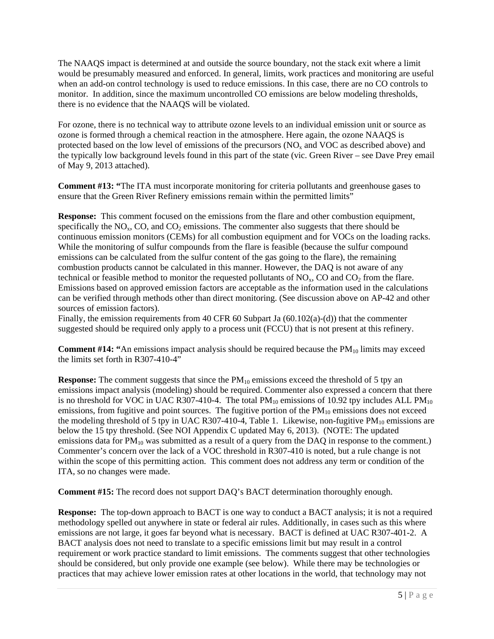The NAAQS impact is determined at and outside the source boundary, not the stack exit where a limit would be presumably measured and enforced. In general, limits, work practices and monitoring are useful when an add-on control technology is used to reduce emissions. In this case, there are no CO controls to monitor. In addition, since the maximum uncontrolled CO emissions are below modeling thresholds, there is no evidence that the NAAQS will be violated.

For ozone, there is no technical way to attribute ozone levels to an individual emission unit or source as ozone is formed through a chemical reaction in the atmosphere. Here again, the ozone NAAQS is protected based on the low level of emissions of the precursors  $(NO<sub>x</sub>$  and VOC as described above) and the typically low background levels found in this part of the state (vic. Green River – see Dave Prey email of May 9, 2013 attached).

**Comment #13: "**The ITA must incorporate monitoring for criteria pollutants and greenhouse gases to ensure that the Green River Refinery emissions remain within the permitted limits"

**Response:** This comment focused on the emissions from the flare and other combustion equipment, specifically the  $NO<sub>x</sub>$ , CO, and CO<sub>2</sub> emissions. The commenter also suggests that there should be continuous emission monitors (CEMs) for all combustion equipment and for VOCs on the loading racks. While the monitoring of sulfur compounds from the flare is feasible (because the sulfur compound emissions can be calculated from the sulfur content of the gas going to the flare), the remaining combustion products cannot be calculated in this manner. However, the DAQ is not aware of any technical or feasible method to monitor the requested pollutants of  $NO<sub>x</sub>$ , CO and  $CO<sub>2</sub>$  from the flare. Emissions based on approved emission factors are acceptable as the information used in the calculations can be verified through methods other than direct monitoring. (See discussion above on AP-42 and other sources of emission factors).

Finally, the emission requirements from 40 CFR 60 Subpart Ja (60.102(a)-(d)) that the commenter suggested should be required only apply to a process unit (FCCU) that is not present at this refinery.

**Comment #14: "**An emissions impact analysis should be required because the PM<sub>10</sub> limits may exceed the limits set forth in R307-410-4"

**Response:** The comment suggests that since the PM<sub>10</sub> emissions exceed the threshold of 5 tpy an emissions impact analysis (modeling) should be required. Commenter also expressed a concern that there is no threshold for VOC in UAC R307-410-4. The total  $PM_{10}$  emissions of 10.92 tpy includes ALL  $PM_{10}$ emissions, from fugitive and point sources. The fugitive portion of the  $PM_{10}$  emissions does not exceed the modeling threshold of 5 tpy in UAC R307-410-4, Table 1. Likewise, non-fugitive  $PM_{10}$  emissions are below the 15 tpy threshold. (See NOI Appendix C updated May 6, 2013). (NOTE: The updated emissions data for  $PM_{10}$  was submitted as a result of a query from the DAQ in response to the comment.) Commenter's concern over the lack of a VOC threshold in R307-410 is noted, but a rule change is not within the scope of this permitting action. This comment does not address any term or condition of the ITA, so no changes were made.

**Comment #15:** The record does not support DAQ's BACT determination thoroughly enough.

**Response:** The top-down approach to BACT is one way to conduct a BACT analysis; it is not a required methodology spelled out anywhere in state or federal air rules. Additionally, in cases such as this where emissions are not large, it goes far beyond what is necessary. BACT is defined at UAC R307-401-2. A BACT analysis does not need to translate to a specific emissions limit but may result in a control requirement or work practice standard to limit emissions. The comments suggest that other technologies should be considered, but only provide one example (see below). While there may be technologies or practices that may achieve lower emission rates at other locations in the world, that technology may not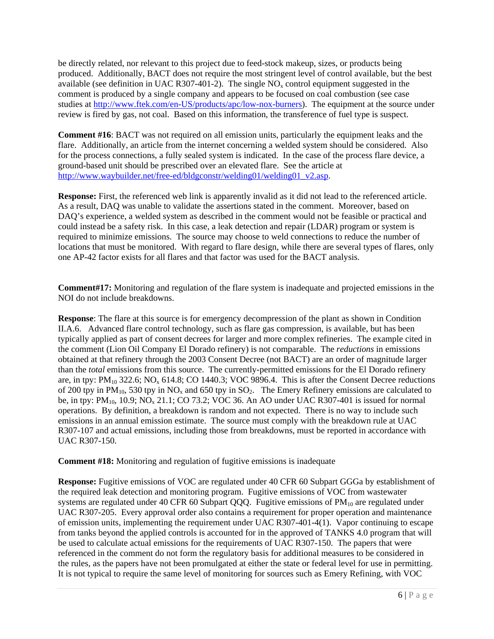be directly related, nor relevant to this project due to feed-stock makeup, sizes, or products being produced. Additionally, BACT does not require the most stringent level of control available, but the best available (see definition in UAC R307-401-2). The single  $NO<sub>x</sub>$  control equipment suggested in the comment is produced by a single company and appears to be focused on coal combustion (see case studies at http://www.ftek.com/en-US/products/apc/low-nox-burners). The equipment at the source under review is fired by gas, not coal. Based on this information, the transference of fuel type is suspect.

**Comment #16**: BACT was not required on all emission units, particularly the equipment leaks and the flare. Additionally, an article from the internet concerning a welded system should be considered. Also for the process connections, a fully sealed system is indicated. In the case of the process flare device, a ground-based unit should be prescribed over an elevated flare. See the article at http://www.waybuilder.net/free-ed/bldgconstr/welding01/welding01\_v2.asp.

**Response:** First, the referenced web link is apparently invalid as it did not lead to the referenced article. As a result, DAQ was unable to validate the assertions stated in the comment. Moreover, based on DAQ's experience, a welded system as described in the comment would not be feasible or practical and could instead be a safety risk. In this case, a leak detection and repair (LDAR) program or system is required to minimize emissions. The source may choose to weld connections to reduce the number of locations that must be monitored. With regard to flare design, while there are several types of flares, only one AP-42 factor exists for all flares and that factor was used for the BACT analysis.

**Comment#17:** Monitoring and regulation of the flare system is inadequate and projected emissions in the NOI do not include breakdowns.

**Response**: The flare at this source is for emergency decompression of the plant as shown in Condition II.A.6. Advanced flare control technology, such as flare gas compression, is available, but has been typically applied as part of consent decrees for larger and more complex refineries. The example cited in the comment (Lion Oil Company El Dorado refinery) is not comparable. The *reductions* in emissions obtained at that refinery through the 2003 Consent Decree (not BACT) are an order of magnitude larger than the *total* emissions from this source. The currently-permitted emissions for the El Dorado refinery are, in tpy:  $PM_{10}$  322.6; NO<sub>x</sub> 614.8; CO 1440.3; VOC 9896.4. This is after the Consent Decree reductions of 200 tpy in  $PM_{10}$ , 530 tpy in  $NO_x$  and 650 tpy in  $SO_2$ . The Emery Refinery emissions are calculated to be, in tpy:  $PM_{10}$ , 10.9; NO<sub>x</sub> 21.1; CO 73.2; VOC 36. An AO under UAC R307-401 is issued for normal operations. By definition, a breakdown is random and not expected. There is no way to include such emissions in an annual emission estimate. The source must comply with the breakdown rule at UAC R307-107 and actual emissions, including those from breakdowns, must be reported in accordance with UAC R307-150.

**Comment #18:** Monitoring and regulation of fugitive emissions is inadequate

**Response:** Fugitive emissions of VOC are regulated under 40 CFR 60 Subpart GGGa by establishment of the required leak detection and monitoring program. Fugitive emissions of VOC from wastewater systems are regulated under 40 CFR 60 Subpart QQQ. Fugitive emissions of  $PM_{10}$  are regulated under UAC R307-205. Every approval order also contains a requirement for proper operation and maintenance of emission units, implementing the requirement under UAC R307-401-4(1). Vapor continuing to escape from tanks beyond the applied controls is accounted for in the approved of TANKS 4.0 program that will be used to calculate actual emissions for the requirements of UAC R307-150. The papers that were referenced in the comment do not form the regulatory basis for additional measures to be considered in the rules, as the papers have not been promulgated at either the state or federal level for use in permitting. It is not typical to require the same level of monitoring for sources such as Emery Refining, with VOC